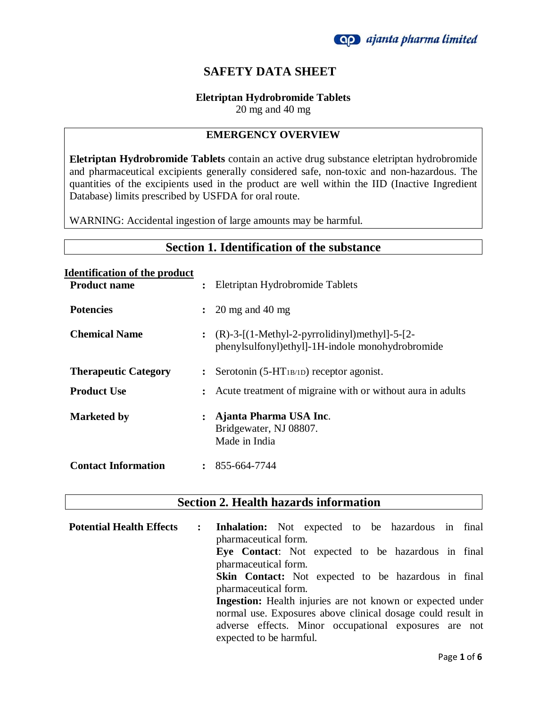

## **SAFETY DATA SHEET**

#### **Eletriptan Hydrobromide Tablets**

20 mg and 40 mg

#### **EMERGENCY OVERVIEW**

**Eletriptan Hydrobromide Tablets** contain an active drug substance eletriptan hydrobromide and pharmaceutical excipients generally considered safe, non-toxic and non-hazardous. The quantities of the excipients used in the product are well within the IID (Inactive Ingredient Database) limits prescribed by USFDA for oral route.

WARNING: Accidental ingestion of large amounts may be harmful.

## **Section 1. Identification of the substance**

# **Identification of the product**

| <b>Product name</b>         | $\ddot{\cdot}$ | Eletriptan Hydrobromide Tablets                                                                       |
|-----------------------------|----------------|-------------------------------------------------------------------------------------------------------|
| <b>Potencies</b>            | $\ddot{\cdot}$ | $20 \text{ mg}$ and $40 \text{ mg}$                                                                   |
| <b>Chemical Name</b>        |                | : $(R)-3-[(1-Methyl-2-pyrrolidinyl)methyl]-5-[2-$<br>phenylsulfonyl)ethyl]-1H-indole monohydrobromide |
| <b>Therapeutic Category</b> | $\ddot{\cdot}$ | Serotonin $(5-HT_{1B/1D})$ receptor agonist.                                                          |
| <b>Product Use</b>          | $\ddot{\cdot}$ | Acute treatment of migraine with or without aura in adults                                            |
| <b>Marketed by</b>          | $\ddot{\cdot}$ | Ajanta Pharma USA Inc.<br>Bridgewater, NJ 08807.<br>Made in India                                     |
| <b>Contact Information</b>  | $\ddot{\cdot}$ | 855-664-7744                                                                                          |

## **Section 2. Health hazards information**

| <b>Potential Health Effects</b> | : Inhalation: Not expected to be hazardous in final<br>pharmaceutical form. |
|---------------------------------|-----------------------------------------------------------------------------|
|                                 | Eye Contact: Not expected to be hazardous in final                          |
|                                 | pharmaceutical form.                                                        |
|                                 | <b>Skin Contact:</b> Not expected to be hazardous in final                  |
|                                 | pharmaceutical form.                                                        |
|                                 | <b>Ingestion:</b> Health injuries are not known or expected under           |
|                                 | normal use. Exposures above clinical dosage could result in                 |
|                                 | adverse effects. Minor occupational exposures are not                       |
|                                 | expected to be harmful.                                                     |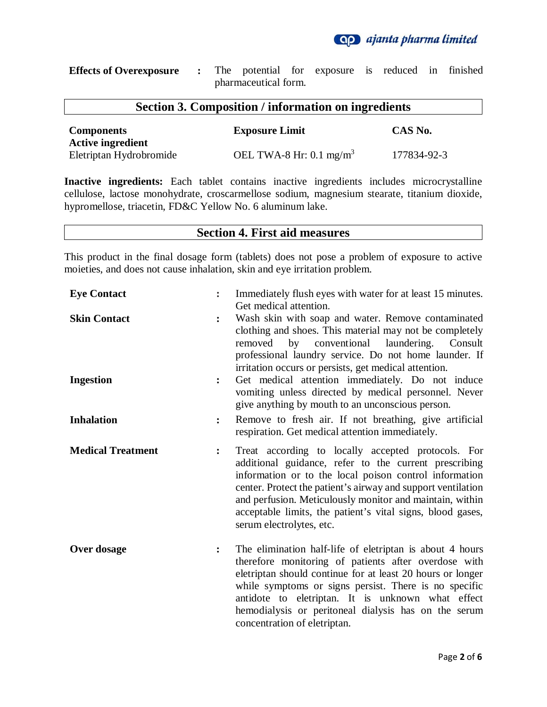

**Effects of Overexposure :** The potential for exposure is reduced in finished pharmaceutical form.

## **Section 3. Composition / information on ingredients**

| <b>Components</b><br><b>Active ingredient</b> | <b>Exposure Limit</b>              | CAS No.     |
|-----------------------------------------------|------------------------------------|-------------|
| Eletriptan Hydrobromide                       | OEL TWA-8 Hr: $0.1 \text{ mg/m}^3$ | 177834-92-3 |

**Inactive ingredients:** Each tablet contains inactive ingredients includes microcrystalline cellulose, lactose monohydrate, croscarmellose sodium, magnesium stearate, titanium dioxide, hypromellose, triacetin, FD&C Yellow No. 6 aluminum lake.

#### **Section 4. First aid measures**

This product in the final dosage form (tablets) does not pose a problem of exposure to active moieties, and does not cause inhalation, skin and eye irritation problem.

| <b>Eye Contact</b>       |                | Immediately flush eyes with water for at least 15 minutes.<br>Get medical attention.                                                                                                                                                                                                                                                                                                        |
|--------------------------|----------------|---------------------------------------------------------------------------------------------------------------------------------------------------------------------------------------------------------------------------------------------------------------------------------------------------------------------------------------------------------------------------------------------|
| <b>Skin Contact</b>      |                | Wash skin with soap and water. Remove contaminated<br>clothing and shoes. This material may not be completely<br>laundering.<br>by<br>conventional<br>Consult<br>removed<br>professional laundry service. Do not home launder. If<br>irritation occurs or persists, get medical attention.                                                                                                  |
| <b>Ingestion</b>         | $\ddot{\cdot}$ | Get medical attention immediately. Do not induce<br>vomiting unless directed by medical personnel. Never<br>give anything by mouth to an unconscious person.                                                                                                                                                                                                                                |
| <b>Inhalation</b>        | $\ddot{\cdot}$ | Remove to fresh air. If not breathing, give artificial<br>respiration. Get medical attention immediately.                                                                                                                                                                                                                                                                                   |
| <b>Medical Treatment</b> | $\ddot{\cdot}$ | Treat according to locally accepted protocols. For<br>additional guidance, refer to the current prescribing<br>information or to the local poison control information<br>center. Protect the patient's airway and support ventilation<br>and perfusion. Meticulously monitor and maintain, within<br>acceptable limits, the patient's vital signs, blood gases,<br>serum electrolytes, etc. |
| Over dosage              | $\ddot{\cdot}$ | The elimination half-life of eletriptan is about 4 hours<br>therefore monitoring of patients after overdose with<br>eletriptan should continue for at least 20 hours or longer<br>while symptoms or signs persist. There is no specific<br>antidote to eletriptan. It is unknown what effect<br>hemodialysis or peritoneal dialysis has on the serum<br>concentration of eletriptan.        |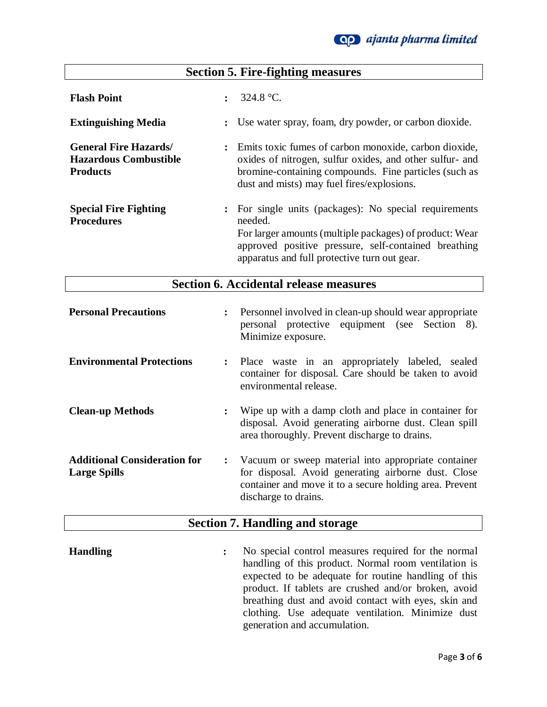

#### **Section 5. Fire-fighting measures Flash Point :** 324.8 °C. **Extinguishing Media :** Use water spray, foam, dry powder, or carbon dioxide. **General Fire Hazards/ Hazardous Combustible Products :** Emits toxic fumes of carbon monoxide, carbon dioxide, oxides of nitrogen, sulfur oxides, and other sulfur- and bromine-containing compounds. Fine particles (such as dust and mists) may fuel fires/explosions. **Special Fire Fighting Procedures :** For single units (packages): No special requirements needed. For larger amounts (multiple packages) of product: Wear approved positive pressure, self-contained breathing apparatus and full protective turn out gear.

#### **Section 6. Accidental release measures**

| <b>Personal Precautions</b>                                |                | : Personnel involved in clean-up should wear appropriate<br>personal protective equipment (see Section 8).<br>Minimize exposure.                                                                |
|------------------------------------------------------------|----------------|-------------------------------------------------------------------------------------------------------------------------------------------------------------------------------------------------|
| <b>Environmental Protections</b>                           |                | : Place waste in an appropriately labeled, sealed<br>container for disposal. Care should be taken to avoid<br>environmental release.                                                            |
| <b>Clean-up Methods</b>                                    | $\ddot{\cdot}$ | Wipe up with a damp cloth and place in container for<br>disposal. Avoid generating airborne dust. Clean spill<br>area thoroughly. Prevent discharge to drains.                                  |
| <b>Additional Consideration for</b><br><b>Large Spills</b> |                | : Vacuum or sweep material into appropriate container<br>for disposal. Avoid generating airborne dust. Close<br>container and move it to a secure holding area. Prevent<br>discharge to drains. |

#### **Section 7. Handling and storage**

**Handling :** No special control measures required for the normal handling of this product. Normal room ventilation is expected to be adequate for routine handling of this product. If tablets are crushed and/or broken, avoid breathing dust and avoid contact with eyes, skin and clothing. Use adequate ventilation. Minimize dust generation and accumulation.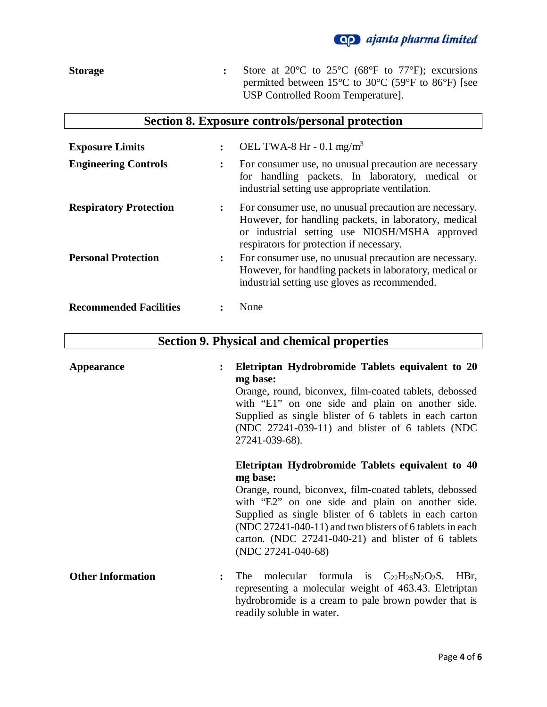

**Storage :** Store at 20°C to 25°C (68°F to 77°F); excursions permitted between 15°C to 30°C (59°F to 86°F) [see USP Controlled Room Temperature].

| Section 8. Exposure controls/personal protection |  |  |  |  |
|--------------------------------------------------|--|--|--|--|
|--------------------------------------------------|--|--|--|--|

| <b>Exposure Limits</b>        | $\ddot{\cdot}$ | OEL TWA-8 Hr - 0.1 mg/m <sup>3</sup>                                                                                                                                                                         |
|-------------------------------|----------------|--------------------------------------------------------------------------------------------------------------------------------------------------------------------------------------------------------------|
| <b>Engineering Controls</b>   | $\ddot{\cdot}$ | For consumer use, no unusual precaution are necessary<br>for handling packets. In laboratory, medical or<br>industrial setting use appropriate ventilation.                                                  |
| <b>Respiratory Protection</b> | $\ddot{\cdot}$ | For consumer use, no unusual precaution are necessary.<br>However, for handling packets, in laboratory, medical<br>or industrial setting use NIOSH/MSHA approved<br>respirators for protection if necessary. |
| <b>Personal Protection</b>    | $\ddot{\cdot}$ | For consumer use, no unusual precaution are necessary.<br>However, for handling packets in laboratory, medical or<br>industrial setting use gloves as recommended.                                           |
| <b>Recommended Facilities</b> |                | None                                                                                                                                                                                                         |

# **Section 9. Physical and chemical properties**

| <b>Appearance</b>        | Eletriptan Hydrobromide Tablets equivalent to 20<br>mg base:<br>Orange, round, biconvex, film-coated tablets, debossed<br>with "E1" on one side and plain on another side.<br>Supplied as single blister of 6 tablets in each carton<br>(NDC $27241-039-11$ ) and blister of 6 tablets (NDC<br>27241-039-68).                                                                    |
|--------------------------|----------------------------------------------------------------------------------------------------------------------------------------------------------------------------------------------------------------------------------------------------------------------------------------------------------------------------------------------------------------------------------|
|                          | Eletriptan Hydrobromide Tablets equivalent to 40<br>mg base:<br>Orange, round, biconvex, film-coated tablets, debossed<br>with "E2" on one side and plain on another side.<br>Supplied as single blister of 6 tablets in each carton<br>(NDC 27241-040-11) and two blisters of 6 tablets in each<br>carton. (NDC $27241-040-21$ ) and blister of 6 tablets<br>(NDC 27241-040-68) |
| <b>Other Information</b> | molecular formula is $C_{22}H_{26}N_2O_2S$ . HBr,<br>The 1<br>$\ddot{\cdot}$<br>representing a molecular weight of 463.43. Eletriptan<br>hydrobromide is a cream to pale brown powder that is<br>readily soluble in water.                                                                                                                                                       |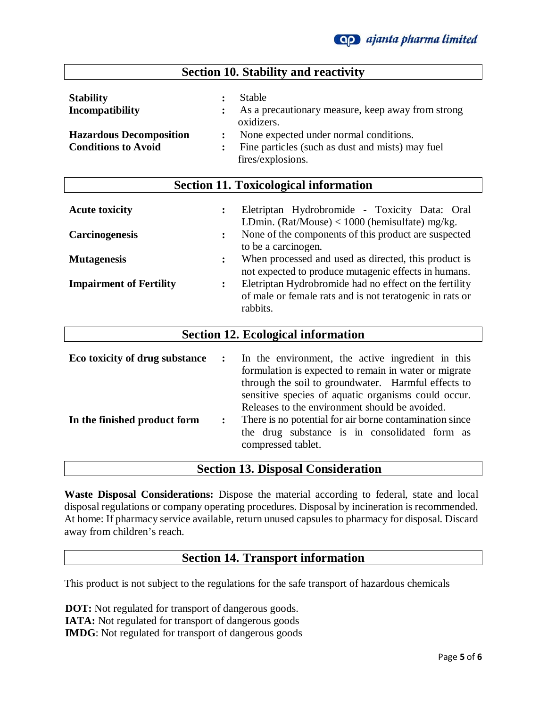

| <b>Section 10. Stability and reactivity</b>                                                         |                                                                                                                                                                                                                                                           |  |  |
|-----------------------------------------------------------------------------------------------------|-----------------------------------------------------------------------------------------------------------------------------------------------------------------------------------------------------------------------------------------------------------|--|--|
| <b>Stability</b><br>Incompatibility<br><b>Hazardous Decomposition</b><br><b>Conditions to Avoid</b> | <b>Stable</b><br>$\ddot{\cdot}$<br>As a precautionary measure, keep away from strong<br>oxidizers.<br>None expected under normal conditions.<br>Fine particles (such as dust and mists) may fuel<br>fires/explosions.                                     |  |  |
|                                                                                                     | <b>Section 11. Toxicological information</b>                                                                                                                                                                                                              |  |  |
| <b>Acute toxicity</b>                                                                               | Eletriptan Hydrobromide - Toxicity Data: Oral<br>:<br>LDmin. (Rat/Mouse) < $1000$ (hemisulfate) mg/kg.                                                                                                                                                    |  |  |
| <b>Carcinogenesis</b>                                                                               | None of the components of this product are suspected<br>:                                                                                                                                                                                                 |  |  |
| <b>Mutagenesis</b>                                                                                  | to be a carcinogen.<br>When processed and used as directed, this product is<br>$\ddot{\cdot}$<br>not expected to produce mutagenic effects in humans.                                                                                                     |  |  |
| <b>Impairment of Fertility</b>                                                                      | Eletriptan Hydrobromide had no effect on the fertility<br>$\ddot{\cdot}$<br>of male or female rats and is not teratogenic in rats or<br>rabbits.                                                                                                          |  |  |
|                                                                                                     | <b>Section 12. Ecological information</b>                                                                                                                                                                                                                 |  |  |
| Eco toxicity of drug substance                                                                      | In the environment, the active ingredient in this<br>:<br>formulation is expected to remain in water or migrate<br>through the soil to groundwater. Harmful effects to                                                                                    |  |  |
| In the finished product form                                                                        | sensitive species of aquatic organisms could occur.<br>Releases to the environment should be avoided.<br>There is no potential for air borne contamination since<br>$\ddot{\cdot}$<br>the drug substance is in consolidated form as<br>compressed tablet. |  |  |

#### **Section 13. Disposal Consideration**

**Waste Disposal Considerations:** Dispose the material according to federal, state and local disposal regulations or company operating procedures. Disposal by incineration is recommended. At home: If pharmacy service available, return unused capsules to pharmacy for disposal. Discard away from children's reach.

### **Section 14. Transport information**

This product is not subject to the regulations for the safe transport of hazardous chemicals

 **DOT:** Not regulated for transport of dangerous goods.  **IATA:** Not regulated for transport of dangerous goods  **IMDG**: Not regulated for transport of dangerous goods